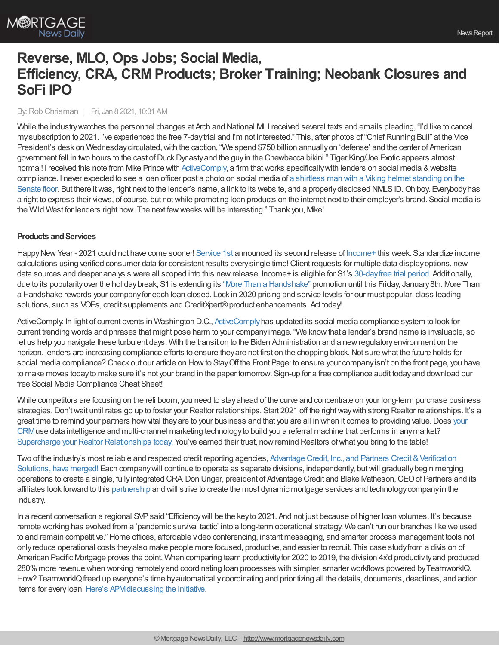

# **Reverse, MLO, Ops Jobs; Social Media, Efficiency, CRA, CRMProducts; Broker Training; Neobank Closures and SoFi IPO**

#### By:Rob Chrisman | Fri, Jan 8 2021, 10:31 AM

While the industry watches the personnel changes at Arch and National MI, I received several texts and emails pleading, "I'd like to cancel mysubscription to 2021. I've experienced the free 7-daytrial and I'm not interested." This, after photos of "ChiefRunning Bull" at the Vice President's desk on Wednesday circulated, with the caption, "We spend \$750 billion annually on 'defense' and the center of American government fell in two hours to the cast of Duck Dynasty and the guy in the Chewbacca bikini." Tiger King/Joe Exotic appears almost normal! I received this note from Mike Prince with [ActiveComply,](https://www.activecomply.com/?utm_source=newsletter&utm_medium=email&utm_campaign=Chrisman1.8.21&utm_content=home-page) a firm that works specifically with lenders on social media & website compliance. I never expected to see a loan officer post a photo on social media of a shirtless man with a Viking helmet standing on the Senate floor. But there it was, right next to the lender's name, a link to its website, and a properly disclosed NMLSID. Oh boy. Everybody has a right to express their views, of course, but notwhile promoting loan products on the internet next to their employer's brand. Social media is the Wild West for lenders right now. The next fewweeks will be interesting." Thank you, Mike!

# **Products and Services**

Happy New Year - 2021 could not have come sooner! [Service](https://www.srv1st.com/) 1st announced its second release of [Income+](https://www.srv1st.com/income-plus) this week. Standardize income calculations using verified consumer data for consistent results everysingle time!Client requests for multiple data displayoptions, new data sources and deeper analysis were all scoped into this new release. Income+ is eligible for S1's 30-day free trial period. Additionally, due to its popularityover the holiday break, S1 is extending its "More Than a [Handshake"](https://www.srv1st.com/request-for-info) promotion until this Friday, January 8th. More Than a Handshake rewards your companyfor each loan closed. Lock in 2020 pricing and service levels for our must popular, class leading solutions, such as VOEs, credit supplements and CreditXpert® product enhancements. Act today!

[ActiveComply](https://www.activecomply.com/?utm_source=newsletter&utm_medium=email&utm_campaign=Chrisman1.8.21&utm_content=home-page): In light of current events in Washington D.C., ActiveComply has updated its social media compliance system to look for current trending words and phrases that might pose harm to your companyimage. "We knowthat a lender's brand name is invaluable, so let us help you navigate these turbulent days. With the transition to the Biden Administration and a newregulatoryenvironment on the horizon, lenders are increasing compliance efforts to ensure they are not first on the chopping block. Not sure what the future holds for social media compliance? Check out our article on How to Stay Off the Front Page: to ensure your company isn't on the front page, you have to make moves todayto make sure it's not your brand in the paper tomorrow. Sign-up for a free compliance audit todayand download our free Social Media Compliance Cheat Sheet!

While competitors are focusing on the refi boom, you need to stay ahead of the curve and concentrate on your long-term purchase business strategies. Don't wait until rates go up to foster your Realtor relationships. Start 2021 off the right way with strong Realtor relationships. It's a great time to remind your partners how vital they are to your business and that you are all in when it comes to providing value. Does your CRMuse data intelligence and [multi-channel](http://bit.ly/3niJzxk) marketing technologyto build you a referral machine that performs in anymarket? Supercharge your Realtor [Relationships](https://bit.ly/3ncZUUb) today. You've earned their trust, now remind Realtors of what you bring to the table!

Two of the industry's most reliable and respected credit reporting agencies, Advantage Credit, Inc., and Partners Credit & Verification Solutions, have merged! Each companywill continue to operate as separate divisions, independently, butwill [graduallybegin](https://www.advcredit.com/advantage-partners-merger/) merging operations to create a single, fullyintegrated CRA.Don Unger, president of Advantage Credit and Blake Matheson,CEOof Partners and its affiliates look forward to this [partnership](https://www.advcredit.com/advantage-partners-merger/) and will strive to create the most dynamic mortgage services and technologycompanyin the industry.

In a recent conversation a regional SVP said "Efficiency will be the key to 2021. And not just because of higher loan volumes. It's because remote working has evolved from a 'pandemic survival tactic' into a long-term operational strategy. We can't run our branches like we used to and remain competitive." Home offices, affordable video conferencing, instant messaging, and smarter process management tools not onlyreduce operational costs theyalso make people more focused, productive, and easier to recruit. This case studyfrom a division of American Pacific Mortgage proves the point. When comparing team productivity for 2020 to 2019, the division 4x'd productivity and produced 280%more revenue when working remotelyand coordinating loan processes with simpler, smarter workflows powered byTeamworkIQ. How? TeamworkIQ freed up everyone's time by automatically coordinating and prioritizing all the details, documents, deadlines, and action items for every loan. Here's APM discussing the initiative.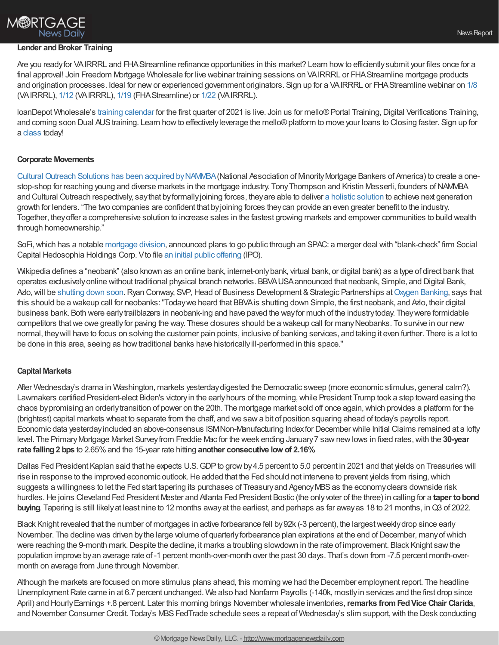# **M®RTGAGE News Daily**

#### **Lender and Broker Training**

Are you readyfor VAIRRRL and FHAStreamline refinance opportunities in this market? Learn howto efficientlysubmit your files once for a final approval! Join Freedom Mortgage Wholesale for live webinar training sessions on VAIRRRL or FHAStreamline mortgage products and origination processes. Ideal for new or experienced government originators. Sign up for a VAIRRRL or FHAStreamline webinar on [1/8](https://freedom.zoom.us/j/82381616106) (VAIRRRL), [1/12](https://freedom.zoom.us/j/83277297157) (VAIRRRL), [1/19](https://freedom.zoom.us/j/82893172543) (FHAStreamline) or [1/22](https://freedom.zoom.us/j/85864312244) (VAIRRRL).

loanDepot Wholesale's training [calendar](https://nam02.safelinks.protection.outlook.com/?url=https%253A%252F%252Fwww.ldwholesale.com%252Fldwholesale-events_training-calendar&data=04%257C01%257CCMeyers%2540LDWholesale.com%257C396189d6bee24e6596c208d89afe6161%257C19479f888eac45d2a1bf69d33854a3fa%257C0%257C0%257C637429764630696403%257CUnknown%257CTWFpbGZsb3d8eyJWIjoiMC4wLjAwMDAiLCJQIjoiV2luMzIiLCJBTiI6Ik1haWwiLCJXVCI6Mn0%253D%257C1000&sdata=pq6ESX%252FewBGQfPhUuncezyNRNuwnDoJpKuLA6YcODQM%253D&reserved=0) for the first quarter of 2021 is live. Join us for mello® Portal Training, Digital Verifications Training, and coming soon Dual AUS training. Learn how to effectively leverage the mello® platform to move your loans to Closing faster. Sign up for a [class](https://nam02.safelinks.protection.outlook.com/?url=https%253A%252F%252Fwww.ldwholesale.com%252Fldwholesale-events_training-calendar&data=04%257C01%257CCMeyers%2540LDWholesale.com%257C396189d6bee24e6596c208d89afe6161%257C19479f888eac45d2a1bf69d33854a3fa%257C0%257C0%257C637429764630706397%257CUnknown%257CTWFpbGZsb3d8eyJWIjoiMC4wLjAwMDAiLCJQIjoiV2luMzIiLCJBTiI6Ik1haWwiLCJXVCI6Mn0%253D%257C1000&sdata=pYNRRXrrQ9NPgDaaZ%252BufkTZRxMhiaawfa1OsjGquv0M%253D&reserved=0) today!

### **Corporate Movements**

Cultural Outreach Solutions has been acquired [byNAMMBA](https://www.culturaloutreach.com/nammba-announcement)(National Association of MinorityMortgage Bankers of America) to create a onestop-shop for reaching young and diverse markets in the mortgage industry. Tony Thompson and Kristin Messerli, founders of NAMMBA and Cultural Outreach respectively, saythat byformallyjoining forces, theyare able to deliver a holistic [solution](https://www.culturaloutreach.com/nammba-announcement) to achieve next generation growth for lenders. "The two companies are confident that byjoining forces theycan provide an even greater benefit to the industry. Together, theyoffer a comprehensive solution to increase sales in the fastest growing markets and empower communities to build wealth through homeownership."

SoFi,which has a notable [mortgage](https://www.sofi.com/home-loans/mortgage/) division, announced plans to go public through an SPAC: a merger deal with "blank-check" firm Social Capital Hedosophia Holdings Corp. Vto file an initial public [offering](https://www.pymnts.com/news/ipo/2021/sofi-plans-ipo-via-spac/) (IPO).

Wikipedia defines a "neobank" (also known as an online bank, internet-onlybank, virtual bank, or digital bank) as a type of direct bank that operates exclusivelyonline without traditional physical branch networks. BBVAUSAannounced that neobank, Simple, and Digital Bank, Azlo, will be [shutting](https://www.slashgear.com/simple-and-azlo-shutting-down-heres-what-happens-next-07654104/) down soon. Ryan Conway, SVP, Head of Business Development & Strategic Partnerships at Oxygen [Banking,](https://oxygen.us/) says that this should be a wakeup call for neobanks:"Todaywe heard that BBVAis shutting down Simple, the first neobank, and Azlo, their digital business bank. Both were earlytrailblazers in neobank-ing and have paved the wayfor much of the industrytoday. Theywere formidable competitors that we owe greatly for paving the way. These closures should be a wakeup call for many Neobanks. To survive in our new normal, theywill have to focus on solving the customer pain points, inclusive of banking services, and taking it even further. There is a lot to be done in this area, seeing as howtraditional banks have historicallyill-performed in this space."

# **Capital Markets**

After Wednesday's drama in Washington, markets yesterdaydigested the Democratic sweep (more economic stimulus, general calm?). Lawmakers certified President-elect Biden's victory in the early hours of the morning, while President Trump took a step toward easing the chaos by promising an orderly transition of power on the 20th. The mortgage market sold off once again, which provides a platform for the (brightest) capital markets wheat to separate from the chaff, and we sawa bit of position squaring ahead of today's payrolls report. Economic data yesterdayincluded an above-consensus ISMNon-Manufacturing Indexfor December while Initial Claims remained at a lofty level. The Primary Mortgage Market Survey from Freddie Mac for the week ending January 7 saw new lows in fixed rates, with the 30-year **rate falling2 bps** to 2.65%and the 15-year rate hitting **another consecutive low of 2.16%.**

Dallas Fed President Kaplan said that he expects U.S. GDP to grow by 4.5 percent to 5.0 percent in 2021 and that yields on Treasuries will rise in response to the improved economic outlook. He added that the Fed should not intervene to prevent yields from rising, which suggests a willingness to let the Fed start tapering its purchases of Treasury and Agency MBS as the economy clears downside risk hurdles.He joins Cleveland Fed President Mester and Atlanta Fed President Bostic (the onlyvoter of the three) in calling for a **taper tobond buying**. Tapering is still likely at least nine to 12 months away at the earliest, and perhaps as far awayas 18 to 21 months, in Q3 of 2022.

Black Knight revealed that the number of mortgages in active forbearance fell by92k (-3 percent), the largestweeklydrop since early November. The decline was driven bythe large volume of quarterlyforbearance plan expirations at the end ofDecember, manyofwhich were reaching the 9-month mark. Despite the decline, it marks a troubling slowdown in the rate of improvement. Black Knight saw the population improve byan average rate of -1 percent month-over-month over the past 30 days. That's down from -7.5 percent month-overmonth on average from June through November.

Although the markets are focused on more stimulus plans ahead, this morning we had the December employment report. The headline Unemployment Rate came in at 6.7 percent unchanged. We also had Nonfarm Payrolls (-140k, mostly in services and the first drop since April) and HourlyEarnings +.8 percent. Later this morning brings November wholesale inventories,**remarks fromFedVice Chair Clarida**, and November Consumer Credit. Today's MBS FedTrade schedule sees a repeat of Wednesday's slim support, with the Desk conducting